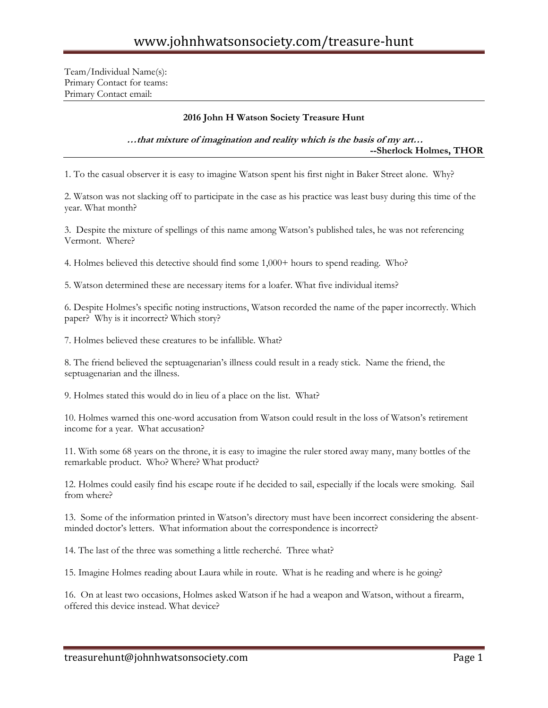Team/Individual Name(s): Primary Contact for teams: Primary Contact email:

## **2016 John H Watson Society Treasure Hunt**

## **…that mixture of imagination and reality which is the basis of my art… --Sherlock Holmes, THOR**

1. To the casual observer it is easy to imagine Watson spent his first night in Baker Street alone. Why?

2. Watson was not slacking off to participate in the case as his practice was least busy during this time of the year. What month?

3. Despite the mixture of spellings of this name among Watson's published tales, he was not referencing Vermont. Where?

4. Holmes believed this detective should find some 1,000+ hours to spend reading. Who?

5. Watson determined these are necessary items for a loafer. What five individual items?

6. Despite Holmes's specific noting instructions, Watson recorded the name of the paper incorrectly. Which paper? Why is it incorrect? Which story?

7. Holmes believed these creatures to be infallible. What?

8. The friend believed the septuagenarian's illness could result in a ready stick. Name the friend, the septuagenarian and the illness.

9. Holmes stated this would do in lieu of a place on the list. What?

10. Holmes warned this one-word accusation from Watson could result in the loss of Watson's retirement income for a year. What accusation?

11. With some 68 years on the throne, it is easy to imagine the ruler stored away many, many bottles of the remarkable product. Who? Where? What product?

12. Holmes could easily find his escape route if he decided to sail, especially if the locals were smoking. Sail from where?

13. Some of the information printed in Watson's directory must have been incorrect considering the absentminded doctor's letters. What information about the correspondence is incorrect?

14. The last of the three was something a little recherché. Three what?

15. Imagine Holmes reading about Laura while in route. What is he reading and where is he going?

16. On at least two occasions, Holmes asked Watson if he had a weapon and Watson, without a firearm, offered this device instead. What device?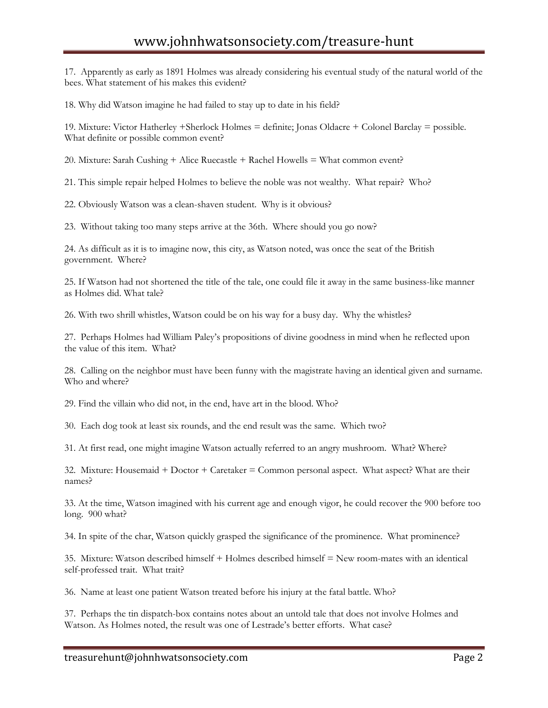17. Apparently as early as 1891 Holmes was already considering his eventual study of the natural world of the bees. What statement of his makes this evident?

18. Why did Watson imagine he had failed to stay up to date in his field?

19. Mixture: Victor Hatherley +Sherlock Holmes = definite; Jonas Oldacre + Colonel Barclay = possible. What definite or possible common event?

20. Mixture: Sarah Cushing + Alice Ruecastle + Rachel Howells = What common event?

21. This simple repair helped Holmes to believe the noble was not wealthy. What repair? Who?

22. Obviously Watson was a clean-shaven student. Why is it obvious?

23. Without taking too many steps arrive at the 36th. Where should you go now?

24. As difficult as it is to imagine now, this city, as Watson noted, was once the seat of the British government. Where?

25. If Watson had not shortened the title of the tale, one could file it away in the same business-like manner as Holmes did. What tale?

26. With two shrill whistles, Watson could be on his way for a busy day. Why the whistles?

27. Perhaps Holmes had William Paley's propositions of divine goodness in mind when he reflected upon the value of this item. What?

28. Calling on the neighbor must have been funny with the magistrate having an identical given and surname. Who and where?

29. Find the villain who did not, in the end, have art in the blood. Who?

30. Each dog took at least six rounds, and the end result was the same. Which two?

31. At first read, one might imagine Watson actually referred to an angry mushroom. What? Where?

32. Mixture: Housemaid + Doctor + Caretaker = Common personal aspect. What aspect? What are their names?

33. At the time, Watson imagined with his current age and enough vigor, he could recover the 900 before too long. 900 what?

34. In spite of the char, Watson quickly grasped the significance of the prominence. What prominence?

35. Mixture: Watson described himself + Holmes described himself = New room-mates with an identical self-professed trait. What trait?

36. Name at least one patient Watson treated before his injury at the fatal battle. Who?

37. Perhaps the tin dispatch-box contains notes about an untold tale that does not involve Holmes and Watson. As Holmes noted, the result was one of Lestrade's better efforts. What case?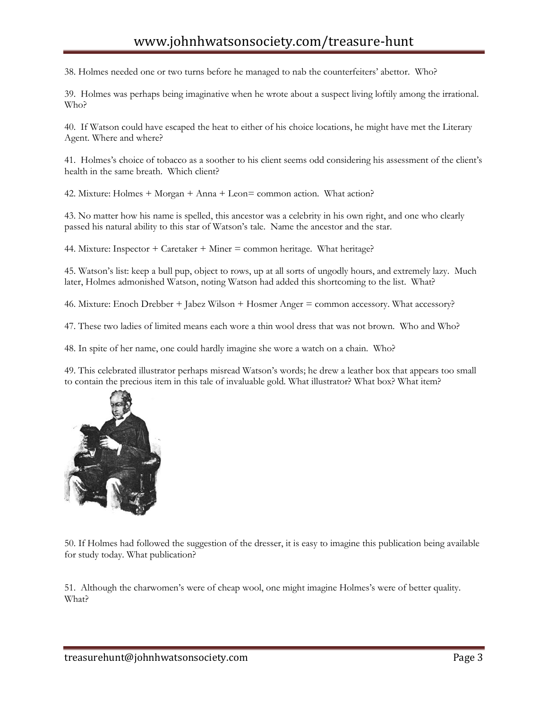38. Holmes needed one or two turns before he managed to nab the counterfeiters' abettor. Who?

39. Holmes was perhaps being imaginative when he wrote about a suspect living loftily among the irrational. Who?

40. If Watson could have escaped the heat to either of his choice locations, he might have met the Literary Agent. Where and where?

41. Holmes's choice of tobacco as a soother to his client seems odd considering his assessment of the client's health in the same breath. Which client?

42. Mixture: Holmes + Morgan + Anna + Leon= common action. What action?

43. No matter how his name is spelled, this ancestor was a celebrity in his own right, and one who clearly passed his natural ability to this star of Watson's tale. Name the ancestor and the star.

44. Mixture: Inspector + Caretaker + Miner = common heritage. What heritage?

45. Watson's list: keep a bull pup, object to rows, up at all sorts of ungodly hours, and extremely lazy. Much later, Holmes admonished Watson, noting Watson had added this shortcoming to the list. What?

46. Mixture: Enoch Drebber + Jabez Wilson + Hosmer Anger = common accessory. What accessory?

47. These two ladies of limited means each wore a thin wool dress that was not brown. Who and Who?

48. In spite of her name, one could hardly imagine she wore a watch on a chain. Who?

49. This celebrated illustrator perhaps misread Watson's words; he drew a leather box that appears too small to contain the precious item in this tale of invaluable gold. What illustrator? What box? What item?



50. If Holmes had followed the suggestion of the dresser, it is easy to imagine this publication being available for study today. What publication?

51. Although the charwomen's were of cheap wool, one might imagine Holmes's were of better quality. What?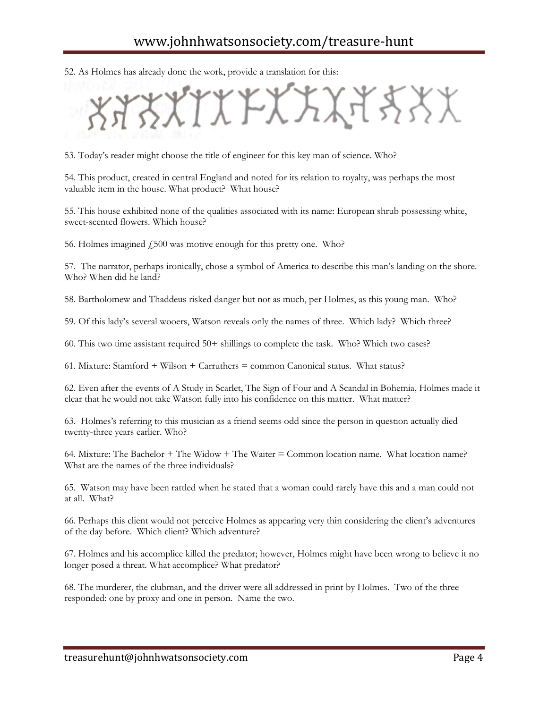52. As Holmes has already done the work, provide a translation for this:

KA¥XX

53. Today's reader might choose the title of engineer for this key man of science. Who?

54. This product, created in central England and noted for its relation to royalty, was perhaps the most valuable item in the house. What product? What house?

55. This house exhibited none of the qualities associated with its name: European shrub possessing white, sweet-scented flowers. Which house?

56. Holmes imagined  $\dot{\gamma}$  500 was motive enough for this pretty one. Who?

57. The narrator, perhaps ironically, chose a symbol of America to describe this man's landing on the shore. Who? When did he land?

58. Bartholomew and Thaddeus risked danger but not as much, per Holmes, as this young man. Who?

59. Of this lady's several wooers, Watson reveals only the names of three. Which lady? Which three?

60. This two time assistant required 50+ shillings to complete the task. Who? Which two cases?

61. Mixture: Stamford + Wilson + Carruthers = common Canonical status. What status?

62. Even after the events of A Study in Scarlet, The Sign of Four and A Scandal in Bohemia, Holmes made it clear that he would not take Watson fully into his confidence on this matter. What matter?

63. Holmes's referring to this musician as a friend seems odd since the person in question actually died twenty-three years earlier. Who?

64. Mixture: The Bachelor + The Widow + The Waiter = Common location name. What location name? What are the names of the three individuals?

65. Watson may have been rattled when he stated that a woman could rarely have this and a man could not at all. What?

66. Perhaps this client would not perceive Holmes as appearing very thin considering the client's adventures of the day before. Which client? Which adventure?

67. Holmes and his accomplice killed the predator; however, Holmes might have been wrong to believe it no longer posed a threat. What accomplice? What predator?

68. The murderer, the clubman, and the driver were all addressed in print by Holmes. Two of the three responded: one by proxy and one in person. Name the two.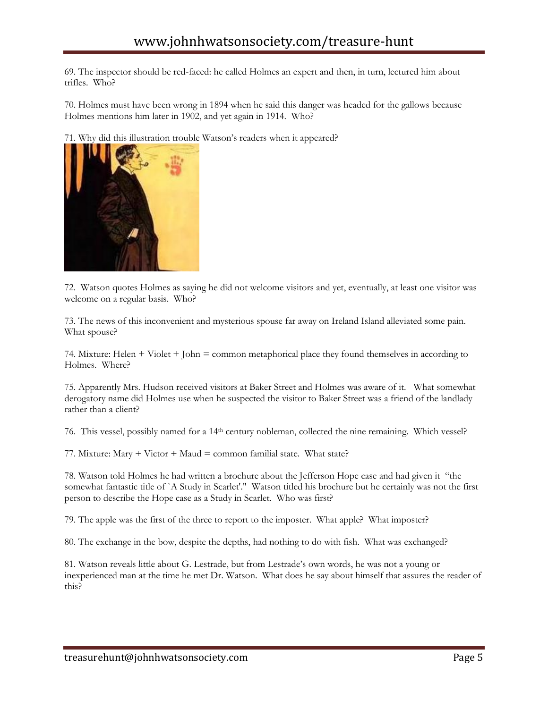69. The inspector should be red-faced: he called Holmes an expert and then, in turn, lectured him about trifles. Who?

70. Holmes must have been wrong in 1894 when he said this danger was headed for the gallows because Holmes mentions him later in 1902, and yet again in 1914. Who?

71. Why did this illustration trouble Watson's readers when it appeared?



72. Watson quotes Holmes as saying he did not welcome visitors and yet, eventually, at least one visitor was welcome on a regular basis. Who?

73. The news of this inconvenient and mysterious spouse far away on Ireland Island alleviated some pain. What spouse?

74. Mixture: Helen + Violet + John = common metaphorical place they found themselves in according to Holmes. Where?

75. Apparently Mrs. Hudson received visitors at Baker Street and Holmes was aware of it. What somewhat derogatory name did Holmes use when he suspected the visitor to Baker Street was a friend of the landlady rather than a client?

76. This vessel, possibly named for a 14th century nobleman, collected the nine remaining. Which vessel?

77. Mixture: Mary + Victor + Maud = common familial state. What state?

78. Watson told Holmes he had written a brochure about the Jefferson Hope case and had given it "the somewhat fantastic title of `A Study in Scarlet'." Watson titled his brochure but he certainly was not the first person to describe the Hope case as a Study in Scarlet. Who was first?

79. The apple was the first of the three to report to the imposter. What apple? What imposter?

80. The exchange in the bow, despite the depths, had nothing to do with fish. What was exchanged?

81. Watson reveals little about G. Lestrade, but from Lestrade's own words, he was not a young or inexperienced man at the time he met Dr. Watson. What does he say about himself that assures the reader of this?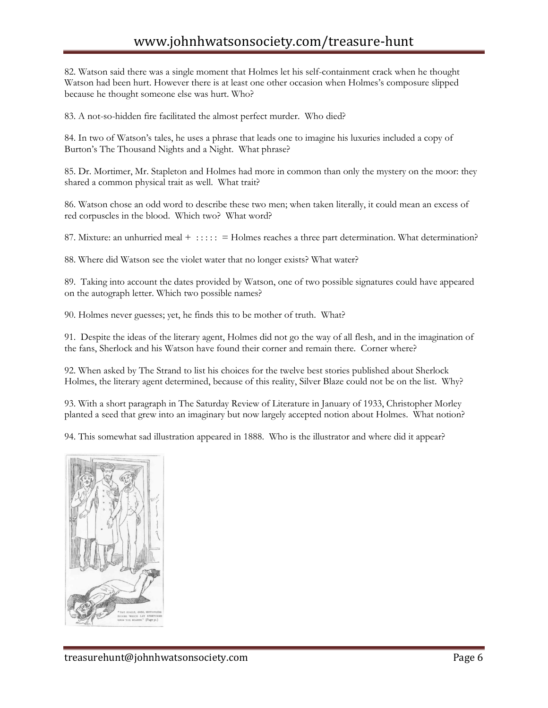82. Watson said there was a single moment that Holmes let his self-containment crack when he thought Watson had been hurt. However there is at least one other occasion when Holmes's composure slipped because he thought someone else was hurt. Who?

83. A not-so-hidden fire facilitated the almost perfect murder. Who died?

84. In two of Watson's tales, he uses a phrase that leads one to imagine his luxuries included a copy of Burton's The Thousand Nights and a Night. What phrase?

85. Dr. Mortimer, Mr. Stapleton and Holmes had more in common than only the mystery on the moor: they shared a common physical trait as well. What trait?

86. Watson chose an odd word to describe these two men; when taken literally, it could mean an excess of red corpuscles in the blood. Which two? What word?

87. Mixture: an unhurried meal +  $\cdots$  : = Holmes reaches a three part determination. What determination?

88. Where did Watson see the violet water that no longer exists? What water?

89. Taking into account the dates provided by Watson, one of two possible signatures could have appeared on the autograph letter. Which two possible names?

90. Holmes never guesses; yet, he finds this to be mother of truth. What?

91. Despite the ideas of the literary agent, Holmes did not go the way of all flesh, and in the imagination of the fans, Sherlock and his Watson have found their corner and remain there. Corner where?

92. When asked by The Strand to list his choices for the twelve best stories published about Sherlock Holmes, the literary agent determined, because of this reality, Silver Blaze could not be on the list. Why?

93. With a short paragraph in The Saturday Review of Literature in January of 1933, Christopher Morley planted a seed that grew into an imaginary but now largely accepted notion about Holmes. What notion?

94. This somewhat sad illustration appeared in 1888. Who is the illustrator and where did it appear?